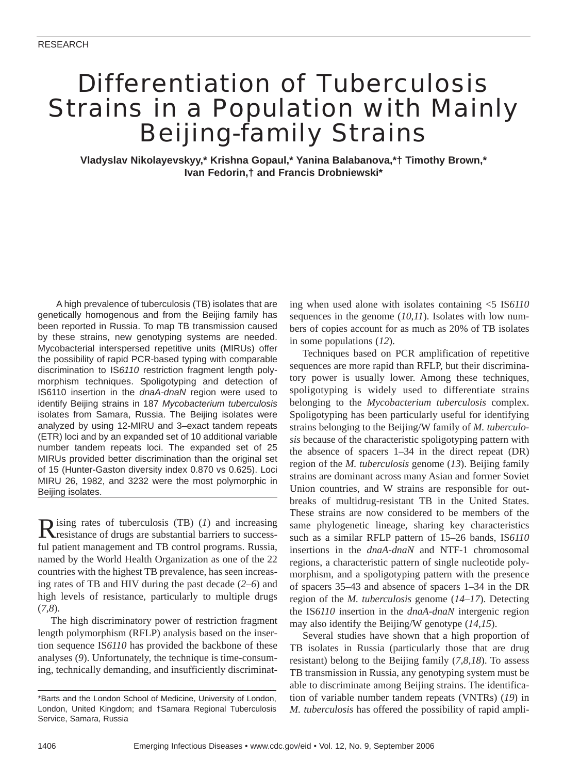# Differentiation of Tuberculosis Strains in a Population with Mainly Beijing-family Strains

**Vladyslav Nikolayevskyy,\* Krishna Gopaul,\* Yanina Balabanova,\*† Timothy Brown,\* Ivan Fedorin,† and Francis Drobniewski\***

A high prevalence of tuberculosis (TB) isolates that are genetically homogenous and from the Beijing family has been reported in Russia. To map TB transmission caused by these strains, new genotyping systems are needed. Mycobacterial interspersed repetitive units (MIRUs) offer the possibility of rapid PCR-based typing with comparable discrimination to IS*6110* restriction fragment length polymorphism techniques. Spoligotyping and detection of IS6110 insertion in the *dnaA-dnaN* region were used to identify Beijing strains in 187 *Mycobacterium tuberculosis* isolates from Samara, Russia. The Beijing isolates were analyzed by using 12-MIRU and 3–exact tandem repeats (ETR) loci and by an expanded set of 10 additional variable number tandem repeats loci. The expanded set of 25 MIRUs provided better discrimination than the original set of 15 (Hunter-Gaston diversity index 0.870 vs 0.625). Loci MIRU 26, 1982, and 3232 were the most polymorphic in Beijing isolates.

Rising rates of tuberculosis (TB) (*1*) and increasing<br>resistance of drugs are substantial barriers to successful patient management and TB control programs. Russia, named by the World Health Organization as one of the 22 countries with the highest TB prevalence, has seen increasing rates of TB and HIV during the past decade (*2*–*6*) and high levels of resistance, particularly to multiple drugs (*7*,*8*).

The high discriminatory power of restriction fragment length polymorphism (RFLP) analysis based on the insertion sequence IS*6110* has provided the backbone of these analyses (*9*). Unfortunately, the technique is time-consuming, technically demanding, and insufficiently discriminating when used alone with isolates containing <5 IS*6110* sequences in the genome (*10*,*11*). Isolates with low numbers of copies account for as much as 20% of TB isolates in some populations (*12*).

Techniques based on PCR amplification of repetitive sequences are more rapid than RFLP, but their discriminatory power is usually lower. Among these techniques, spoligotyping is widely used to differentiate strains belonging to the *Mycobacterium tuberculosis* complex. Spoligotyping has been particularly useful for identifying strains belonging to the Beijing/W family of *M. tuberculosis* because of the characteristic spoligotyping pattern with the absence of spacers 1–34 in the direct repeat (DR) region of the *M. tuberculosis* genome (*13*). Beijing family strains are dominant across many Asian and former Soviet Union countries, and W strains are responsible for outbreaks of multidrug-resistant TB in the United States. These strains are now considered to be members of the same phylogenetic lineage, sharing key characteristics such as a similar RFLP pattern of 15–26 bands, IS*6110* insertions in the *dnaA*-*dnaN* and NTF-1 chromosomal regions, a characteristic pattern of single nucleotide polymorphism, and a spoligotyping pattern with the presence of spacers 35–43 and absence of spacers 1–34 in the DR region of the *M. tuberculosis* genome (*14*–*17*). Detecting the IS*6110* insertion in the *dnaA-dnaN* intergenic region may also identify the Beijing/W genotype (*14*,*15*).

Several studies have shown that a high proportion of TB isolates in Russia (particularly those that are drug resistant) belong to the Beijing family (*7*,*8*,*18*). To assess TB transmission in Russia, any genotyping system must be able to discriminate among Beijing strains. The identification of variable number tandem repeats (VNTRs) (*19*) in *M. tuberculosis* has offered the possibility of rapid ampli-

<sup>\*</sup>Barts and the London School of Medicine, University of London, London, United Kingdom; and †Samara Regional Tuberculosis Service, Samara, Russia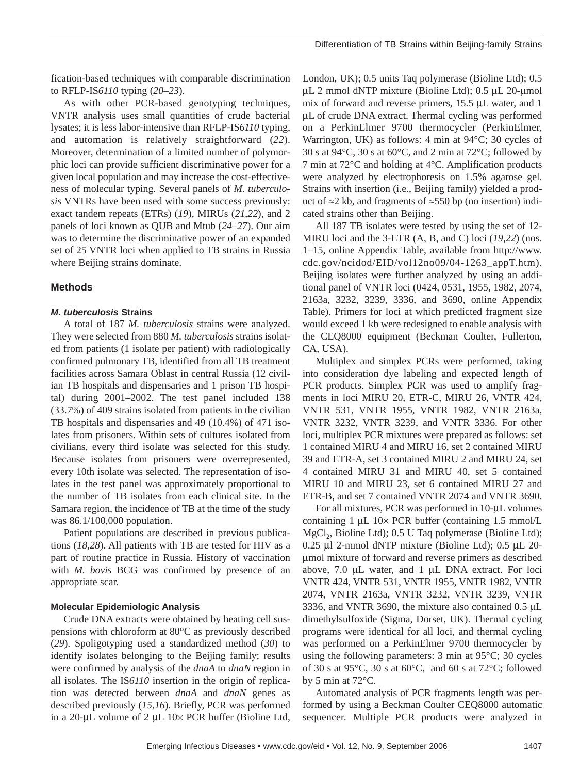fication-based techniques with comparable discrimination to RFLP-IS*6110* typing (*20*–*23*).

As with other PCR-based genotyping techniques, VNTR analysis uses small quantities of crude bacterial lysates; it is less labor-intensive than RFLP-IS*6110* typing, and automation is relatively straightforward (*22*). Moreover, determination of a limited number of polymorphic loci can provide sufficient discriminative power for a given local population and may increase the cost-effectiveness of molecular typing. Several panels of *M. tuberculosis* VNTRs have been used with some success previously: exact tandem repeats (ETRs) (*19*), MIRUs (*21*,*22*), and 2 panels of loci known as QUB and Mtub (*24*–*27*). Our aim was to determine the discriminative power of an expanded set of 25 VNTR loci when applied to TB strains in Russia where Beijing strains dominate.

# **Methods**

# *M. tuberculosis* **Strains**

A total of 187 *M. tuberculosis* strains were analyzed. They were selected from 880 *M. tuberculosis* strains isolated from patients (1 isolate per patient) with radiologically confirmed pulmonary TB, identified from all TB treatment facilities across Samara Oblast in central Russia (12 civilian TB hospitals and dispensaries and 1 prison TB hospital) during 2001–2002. The test panel included 138 (33.7%) of 409 strains isolated from patients in the civilian TB hospitals and dispensaries and 49 (10.4%) of 471 isolates from prisoners. Within sets of cultures isolated from civilians, every third isolate was selected for this study. Because isolates from prisoners were overrepresented, every 10th isolate was selected. The representation of isolates in the test panel was approximately proportional to the number of TB isolates from each clinical site. In the Samara region, the incidence of TB at the time of the study was 86.1/100,000 population.

Patient populations are described in previous publications (*18*,*28*). All patients with TB are tested for HIV as a part of routine practice in Russia. History of vaccination with *M. bovis* BCG was confirmed by presence of an appropriate scar.

#### **Molecular Epidemiologic Analysis**

Crude DNA extracts were obtained by heating cell suspensions with chloroform at 80°C as previously described (*29*). Spoligotyping used a standardized method (*30*) to identify isolates belonging to the Beijing family; results were confirmed by analysis of the *dnaA* to *dnaN* region in all isolates. The IS*6110* insertion in the origin of replication was detected between *dnaA* and *dnaN* genes as described previously (*15*,*16*). Briefly, PCR was performed in a 20-µL volume of 2 µL 10 $\times$  PCR buffer (Bioline Ltd,

London, UK); 0.5 units Taq polymerase (Bioline Ltd); 0.5 µL 2 mmol dNTP mixture (Bioline Ltd); 0.5 µL 20-µmol mix of forward and reverse primers, 15.5 µL water, and 1 µL of crude DNA extract. Thermal cycling was performed on a PerkinElmer 9700 thermocycler (PerkinElmer, Warrington, UK) as follows: 4 min at 94°C; 30 cycles of 30 s at 94 $\degree$ C, 30 s at 60 $\degree$ C, and 2 min at 72 $\degree$ C; followed by 7 min at 72°C and holding at 4°C. Amplification products were analyzed by electrophoresis on 1.5% agarose gel. Strains with insertion (i.e., Beijing family) yielded a product of ≈2 kb, and fragments of ≈550 bp (no insertion) indicated strains other than Beijing.

All 187 TB isolates were tested by using the set of 12- MIRU loci and the 3-ETR (A, B, and C) loci (*19*,*22*) (nos. 1–15, online Appendix Table, available from http://www. cdc.gov/ncidod/EID/vol12no09/04-1263\_appT.htm). Beijing isolates were further analyzed by using an additional panel of VNTR loci (0424, 0531, 1955, 1982, 2074, 2163a, 3232, 3239, 3336, and 3690, online Appendix Table). Primers for loci at which predicted fragment size would exceed 1 kb were redesigned to enable analysis with the CEQ8000 equipment (Beckman Coulter, Fullerton, CA, USA).

Multiplex and simplex PCRs were performed, taking into consideration dye labeling and expected length of PCR products. Simplex PCR was used to amplify fragments in loci MIRU 20, ETR-C, MIRU 26, VNTR 424, VNTR 531, VNTR 1955, VNTR 1982, VNTR 2163a, VNTR 3232, VNTR 3239, and VNTR 3336. For other loci, multiplex PCR mixtures were prepared as follows: set 1 contained MIRU 4 and MIRU 16, set 2 contained MIRU 39 and ETR-A, set 3 contained MIRU 2 and MIRU 24, set 4 contained MIRU 31 and MIRU 40, set 5 contained MIRU 10 and MIRU 23, set 6 contained MIRU 27 and ETR-B, and set 7 contained VNTR 2074 and VNTR 3690.

For all mixtures, PCR was performed in 10-µL volumes containing 1 µL 10× PCR buffer (containing 1.5 mmol/L  $MgCl<sub>2</sub>$ , Bioline Ltd); 0.5 U Taq polymerase (Bioline Ltd); 0.25 µl 2-mmol dNTP mixture (Bioline Ltd); 0.5 µL 20 µmol mixture of forward and reverse primers as described above, 7.0 µL water, and 1 µL DNA extract. For loci VNTR 424, VNTR 531, VNTR 1955, VNTR 1982, VNTR 2074, VNTR 2163a, VNTR 3232, VNTR 3239, VNTR 3336, and VNTR 3690, the mixture also contained 0.5 µL dimethylsulfoxide (Sigma, Dorset, UK). Thermal cycling programs were identical for all loci, and thermal cycling was performed on a PerkinElmer 9700 thermocycler by using the following parameters: 3 min at 95°C; 30 cycles of 30 s at 95°C, 30 s at 60°C, and 60 s at 72°C; followed by 5 min at 72°C.

Automated analysis of PCR fragments length was performed by using a Beckman Coulter CEQ8000 automatic sequencer. Multiple PCR products were analyzed in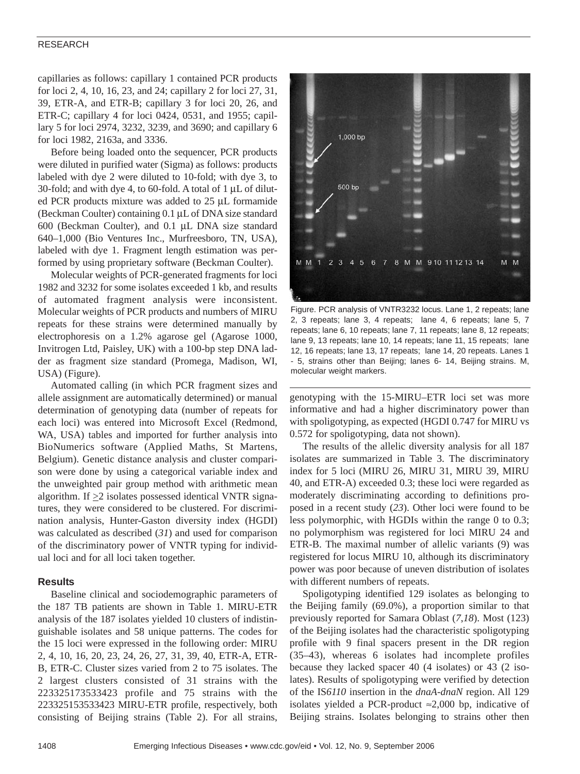# RESEARCH

capillaries as follows: capillary 1 contained PCR products for loci 2, 4, 10, 16, 23, and 24; capillary 2 for loci 27, 31, 39, ETR-A, and ETR-B; capillary 3 for loci 20, 26, and ETR-C; capillary 4 for loci 0424, 0531, and 1955; capillary 5 for loci 2974, 3232, 3239, and 3690; and capillary 6 for loci 1982, 2163a, and 3336.

Before being loaded onto the sequencer, PCR products were diluted in purified water (Sigma) as follows: products labeled with dye 2 were diluted to 10-fold; with dye 3, to 30-fold; and with dye 4, to 60-fold. A total of  $1 \mu L$  of diluted PCR products mixture was added to 25 µL formamide (Beckman Coulter) containing 0.1 µL of DNA size standard 600 (Beckman Coulter), and 0.1 µL DNA size standard 640–1,000 (Bio Ventures Inc., Murfreesboro, TN, USA), labeled with dye 1. Fragment length estimation was performed by using proprietary software (Beckman Coulter).

Molecular weights of PCR-generated fragments for loci 1982 and 3232 for some isolates exceeded 1 kb, and results of automated fragment analysis were inconsistent. Molecular weights of PCR products and numbers of MIRU repeats for these strains were determined manually by electrophoresis on a 1.2% agarose gel (Agarose 1000, Invitrogen Ltd, Paisley, UK) with a 100-bp step DNA ladder as fragment size standard (Promega, Madison, WI, USA) (Figure).

Automated calling (in which PCR fragment sizes and allele assignment are automatically determined) or manual determination of genotyping data (number of repeats for each loci) was entered into Microsoft Excel (Redmond, WA, USA) tables and imported for further analysis into BioNumerics software (Applied Maths, St Martens, Belgium). Genetic distance analysis and cluster comparison were done by using a categorical variable index and the unweighted pair group method with arithmetic mean algorithm. If  $\geq$ 2 isolates possessed identical VNTR signatures, they were considered to be clustered. For discrimination analysis, Hunter-Gaston diversity index (HGDI) was calculated as described (*31*) and used for comparison of the discriminatory power of VNTR typing for individual loci and for all loci taken together.

## **Results**

Baseline clinical and sociodemographic parameters of the 187 TB patients are shown in Table 1. MIRU-ETR analysis of the 187 isolates yielded 10 clusters of indistinguishable isolates and 58 unique patterns. The codes for the 15 loci were expressed in the following order: MIRU 2, 4, 10, 16, 20, 23, 24, 26, 27, 31, 39, 40, ETR-A, ETR-B, ETR-C. Cluster sizes varied from 2 to 75 isolates. The 2 largest clusters consisted of 31 strains with the 223325173533423 profile and 75 strains with the 223325153533423 MIRU-ETR profile, respectively, both consisting of Beijing strains (Table 2). For all strains,



Figure. PCR analysis of VNTR3232 locus. Lane 1, 2 repeats; lane 2, 3 repeats; lane 3, 4 repeats; lane 4, 6 repeats; lane 5, 7 repeats; lane 6, 10 repeats; lane 7, 11 repeats; lane 8, 12 repeats; lane 9, 13 repeats; lane 10, 14 repeats; lane 11, 15 repeats; lane 12, 16 repeats; lane 13, 17 repeats; lane 14, 20 repeats. Lanes 1 - 5, strains other than Beijing; lanes 6- 14, Beijing strains. M, molecular weight markers.

genotyping with the 15-MIRU–ETR loci set was more informative and had a higher discriminatory power than with spoligotyping, as expected (HGDI 0.747 for MIRU vs 0.572 for spoligotyping, data not shown).

The results of the allelic diversity analysis for all 187 isolates are summarized in Table 3. The discriminatory index for 5 loci (MIRU 26, MIRU 31, MIRU 39, MIRU 40, and ETR-A) exceeded 0.3; these loci were regarded as moderately discriminating according to definitions proposed in a recent study (*23*). Other loci were found to be less polymorphic, with HGDIs within the range 0 to 0.3; no polymorphism was registered for loci MIRU 24 and ETR-B. The maximal number of allelic variants (9) was registered for locus MIRU 10, although its discriminatory power was poor because of uneven distribution of isolates with different numbers of repeats.

Spoligotyping identified 129 isolates as belonging to the Beijing family (69.0%), a proportion similar to that previously reported for Samara Oblast (*7*,*18*). Most (123) of the Beijing isolates had the characteristic spoligotyping profile with 9 final spacers present in the DR region (35–43), whereas 6 isolates had incomplete profiles because they lacked spacer 40 (4 isolates) or 43 (2 isolates). Results of spoligotyping were verified by detection of the IS*6110* insertion in the *dnaA-dnaN* region. All 129 isolates yielded a PCR-product ≈2,000 bp, indicative of Beijing strains. Isolates belonging to strains other then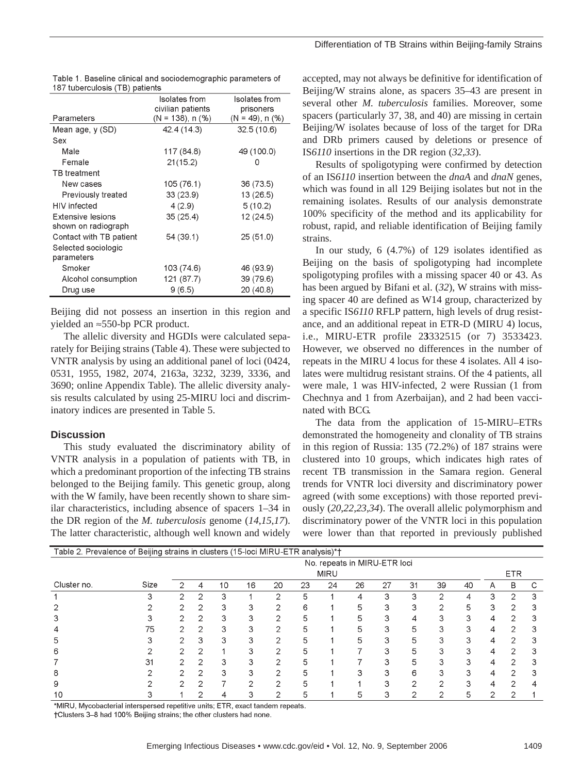| io, tabologioclo (TD, pationto           |                                    |                            |
|------------------------------------------|------------------------------------|----------------------------|
|                                          | Isolates from<br>civilian patients | Isolates from<br>prisoners |
| Parameters                               | $(N = 138)$ , n $(\%)$             | $(N = 49)$ , n $(\%)$      |
| Mean age, y (SD)                         | 42.4 (14.3)                        | 32.5(10.6)                 |
| Sex                                      |                                    |                            |
| Male                                     | 117 (84.8)                         | 49 (100.0)                 |
| Female                                   | 21(15.2)                           | O                          |
| <b>TB</b> treatment                      |                                    |                            |
| New cases                                | 105 (76.1)                         | 36 (73.5)                  |
| Previously treated                       | 33 (23.9)                          | 13 (26.5)                  |
| HIV infected                             | 4(2.9)                             | 5(10.2)                    |
| Extensive lesions<br>shown on radiograph | 35(25.4)                           | 12 (24.5)                  |
| Contact with TB patient                  | 54 (39.1)                          | 25(51.0)                   |
| Selected sociologic<br>parameters        |                                    |                            |
| Smoker                                   | 103 (74.6)                         | 46 (93.9)                  |
| Alcohol consumption                      | 121 (87.7)                         | 39 (79.6)                  |
| Drug use                                 | 9(6.5)                             | 20 (40.8)                  |
|                                          |                                    |                            |

| Table 1. Baseline clinical and sociodemographic parameters of |  |
|---------------------------------------------------------------|--|
| 187 tuberculosis (TB) patients                                |  |

Beijing did not possess an insertion in this region and yielded an ≈550-bp PCR product.

The allelic diversity and HGDIs were calculated separately for Beijing strains (Table 4). These were subjected to VNTR analysis by using an additional panel of loci (0424, 0531, 1955, 1982, 2074, 2163a, 3232, 3239, 3336, and 3690; online Appendix Table). The allelic diversity analysis results calculated by using 25-MIRU loci and discriminatory indices are presented in Table 5.

#### **Discussion**

This study evaluated the discriminatory ability of VNTR analysis in a population of patients with TB, in which a predominant proportion of the infecting TB strains belonged to the Beijing family. This genetic group, along with the W family, have been recently shown to share similar characteristics, including absence of spacers 1–34 in the DR region of the *M. tuberculosis* genome (*14*,*15*,*17*). The latter characteristic, although well known and widely

accepted, may not always be definitive for identification of Beijing/W strains alone, as spacers 35–43 are present in several other *M. tuberculosis* families. Moreover, some spacers (particularly 37, 38, and 40) are missing in certain Beijing/W isolates because of loss of the target for DRa and DRb primers caused by deletions or presence of IS*6110* insertions in the DR region (*32*,*33*).

Results of spoligotyping were confirmed by detection of an IS*6110* insertion between the *dnaA* and *dnaN* genes, which was found in all 129 Beijing isolates but not in the remaining isolates. Results of our analysis demonstrate 100% specificity of the method and its applicability for robust, rapid, and reliable identification of Beijing family strains.

In our study, 6 (4.7%) of 129 isolates identified as Beijing on the basis of spoligotyping had incomplete spoligotyping profiles with a missing spacer 40 or 43. As has been argued by Bifani et al. (*32*), W strains with missing spacer 40 are defined as W14 group, characterized by a specific IS*6110* RFLP pattern, high levels of drug resistance, and an additional repeat in ETR-D (MIRU 4) locus, i.e., MIRU-ETR profile 2**3**332515 (or 7) 3533423. However, we observed no differences in the number of repeats in the MIRU 4 locus for these 4 isolates. All 4 isolates were multidrug resistant strains. Of the 4 patients, all were male, 1 was HIV-infected, 2 were Russian (1 from Chechnya and 1 from Azerbaijan), and 2 had been vaccinated with BCG.

The data from the application of 15-MIRU–ETRs demonstrated the homogeneity and clonality of TB strains in this region of Russia: 135 (72.2%) of 187 strains were clustered into 10 groups, which indicates high rates of recent TB transmission in the Samara region. General trends for VNTR loci diversity and discriminatory power agreed (with some exceptions) with those reported previously (*20*,*22*,*23*,*34*). The overall allelic polymorphism and discriminatory power of the VNTR loci in this population were lower than that reported in previously published

| Table 2. Prevalence of Beijing strains in clusters (15-loci MIRU-ETR analysis)*† |      |                              |   |            |    |    |    |    |    |    |    |    |    |   |                |   |
|----------------------------------------------------------------------------------|------|------------------------------|---|------------|----|----|----|----|----|----|----|----|----|---|----------------|---|
|                                                                                  |      | No. repeats in MIRU-ETR loci |   |            |    |    |    |    |    |    |    |    |    |   |                |   |
|                                                                                  |      |                              |   | <b>ETR</b> |    |    |    |    |    |    |    |    |    |   |                |   |
| Cluster no.                                                                      | Size | 2                            | 4 | 10         | 16 | 20 | 23 | 24 | 26 | 27 | 31 | 39 | 40 | A | B              | C |
|                                                                                  |      | ົ                            | 2 | 3          |    | 2  | 5  |    |    | 3  | 3  | 2  | 4  |   | 2              | 3 |
|                                                                                  |      |                              | っ | 3          | З  | っ  | 6  |    |    | 3  | З  | ⌒  | 5  |   | 2              |   |
|                                                                                  |      |                              | っ | 3          |    | っ  | 5  |    | 5  |    | 4  |    |    |   | っ              |   |
| 4                                                                                | 75   |                              | 2 | З          | 3  | 2  | 5  |    | 5  | 3  | 5  | 3  |    | 4 | $\overline{2}$ | З |
| 5                                                                                |      |                              | 3 | 3          | З  | ⌒  | 5  |    | 5  | 3  | 5  | 3  | 3  |   | 2              |   |
| 6                                                                                |      |                              | ⌒ |            |    | ⌒  |    |    |    |    |    |    |    |   | ⌒              | З |
|                                                                                  | 31   |                              | っ | 3          | З  | っ  |    |    |    | з  | 5  | 3  | З  | 4 | っ              | З |
| 8                                                                                |      |                              | 2 | З          | 3  | ◠  |    |    |    |    | 6  | 3  | 3  |   | 2              | З |
| 9                                                                                |      |                              | っ |            | ⌒  | ◠  |    |    |    | ⌒  | ⌒  | ⌒  | з  |   | ⌒              |   |
| 10                                                                               |      |                              |   | 4          | 3  | 2  | 5  |    |    | ⌒  | っ  | っ  | 5  |   | ◠              |   |

\*MIRU, Mycobacterial interspersed repetitive units; ETR, exact tandem repeats.

†Clusters 3-8 had 100% Beijing strains; the other clusters had none.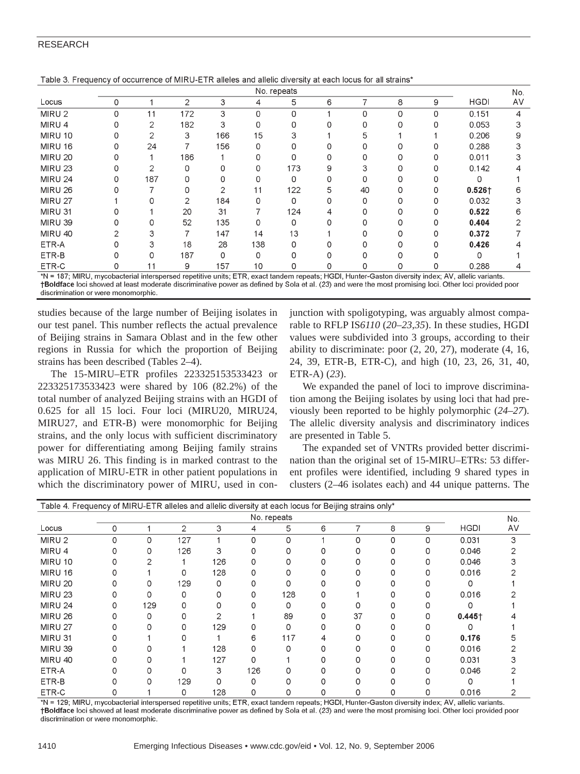# RESEARCH

|                   |   | No. repeats |                |              |     |     |   |          |          |          |             |    |  |  |  |
|-------------------|---|-------------|----------------|--------------|-----|-----|---|----------|----------|----------|-------------|----|--|--|--|
| Locus             | 0 |             | $\overline{2}$ | 3            | 4   | 5   | 6 |          | 8        | 9        | <b>HGDI</b> | AV |  |  |  |
| MIRU <sub>2</sub> | 0 | 11          | 172            | 3            | 0   | 0   |   | $\Omega$ | 0        | 0        | 0.151       | 4  |  |  |  |
| MIRU 4            | 0 | 2           | 182            | 3            | O   | 0   |   | O        | O        | 0        | 0.053       | З  |  |  |  |
| MIRU 10           | 0 | 2           | 3              | 166          | 15  | 3   |   | 5.       |          |          | 0.206       | 9  |  |  |  |
| MIRU 16           | 0 | 24          |                | 156          | O   | ი   |   |          |          | 0        | 0.288       |    |  |  |  |
| <b>MIRU 20</b>    | 0 |             | 186            |              | 0   | 0   |   |          | 0        | 0        | 0.011       | 3  |  |  |  |
| <b>MIRU 23</b>    | 0 | 2           | 0              | 0            | 0   | 173 | 9 | 3        | $\Omega$ | 0        | 0.142       |    |  |  |  |
| <b>MIRU 24</b>    | 0 | 187         | 0              | 0            | O   | 0   | 0 | O        | 0        |          | Ω           |    |  |  |  |
| <b>MIRU 26</b>    | ი |             | O              | $\mathbf{2}$ | 11  | 122 | 5 | 40       | O        | 0        | $0.526 +$   | 6  |  |  |  |
| <b>MIRU 27</b>    |   |             | 2              | 184          | U   | 0   |   | O        | O        | 0        | 0.032       |    |  |  |  |
| MIRU 31           |   |             | 20             | 31           |     | 124 | 4 |          | 0        | 0        | 0.522       | 6  |  |  |  |
| MIRU 39           | 0 | 0           | 52             | 135          | 0   | 0   | O |          | 0        | 0        | 0.404       | っ  |  |  |  |
| MIRU 40           | 2 | 3           |                | 147          | 14  | 13  |   |          | ი        | $\Omega$ | 0.372       |    |  |  |  |
| ETR-A             | 0 | З           | 18             | 28           | 138 | O   |   |          | O        | 0        | 0.426       |    |  |  |  |
| ETR-B             |   | O           | 187            | 0            | O   |     |   |          |          |          | O           |    |  |  |  |
| ETR-C             | 0 | 11          | 9              | 157          | 10  | 0   | 0 | 0        | 0        | 0        | 0.288       |    |  |  |  |

Table 3. Frequency of occurrence of MIRU-ETR alleles and allelic diversity at each locus for all strains\*

\*N = 187; MIRU, mycobacterial interspersed repetitive units; ETR, exact tandem repeats; HGDI, Hunter-Gaston diversity index; AV, allelic variants. †Boldface loci showed at least moderate discriminative power as defined by Sola et al. (23) and were the most promising loci. Other loci provided poor discrimination or were monomorphic

studies because of the large number of Beijing isolates in our test panel. This number reflects the actual prevalence of Beijing strains in Samara Oblast and in the few other regions in Russia for which the proportion of Beijing strains has been described (Tables 2–4).

The 15-MIRU–ETR profiles 223325153533423 or 223325173533423 were shared by 106 (82.2%) of the total number of analyzed Beijing strains with an HGDI of 0.625 for all 15 loci. Four loci (MIRU20, MIRU24, MIRU27, and ETR-B) were monomorphic for Beijing strains, and the only locus with sufficient discriminatory power for differentiating among Beijing family strains was MIRU 26. This finding is in marked contrast to the application of MIRU-ETR in other patient populations in which the discriminatory power of MIRU, used in conjunction with spoligotyping, was arguably almost comparable to RFLP IS*6110* (*20*–*23*,*35*). In these studies, HGDI values were subdivided into 3 groups, according to their ability to discriminate: poor (2, 20, 27), moderate (4, 16, 24, 39, ETR-B, ETR-C), and high (10, 23, 26, 31, 40, ETR-A) (*23*).

We expanded the panel of loci to improve discrimination among the Beijing isolates by using loci that had previously been reported to be highly polymorphic (*24*–*27*). The allelic diversity analysis and discriminatory indices are presented in Table 5.

The expanded set of VNTRs provided better discrimination than the original set of 15-MIRU–ETRs: 53 different profiles were identified, including 9 shared types in clusters (2–46 isolates each) and 44 unique patterns. The

| Table 4. Frequency of MIRU-ETR alleles and allelic diversity at each locus for Beijing strains only* |             |     |                |     |     |     |   |    |   |   |             |    |  |  |
|------------------------------------------------------------------------------------------------------|-------------|-----|----------------|-----|-----|-----|---|----|---|---|-------------|----|--|--|
|                                                                                                      | No. repeats |     |                |     |     |     |   |    |   |   |             |    |  |  |
| Locus                                                                                                | 0           |     | $\overline{2}$ | 3   | 4   | 5   | 6 |    | 8 | 9 | <b>HGDI</b> | AV |  |  |
| MIRU 2                                                                                               |             | 0   | 127            |     | O   | 0   |   | O  | 0 | 0 | 0.031       | 3  |  |  |
| MIRU 4                                                                                               |             |     | 126            | 3   |     |     |   |    |   |   | 0.046       |    |  |  |
| <b>MIRU 10</b>                                                                                       |             |     |                | 126 |     |     |   |    |   |   | 0.046       |    |  |  |
| MIRU 16                                                                                              |             |     |                | 128 |     |     |   |    |   |   | 0.016       |    |  |  |
| <b>MIRU 20</b>                                                                                       |             |     | 129            | Ω   |     |     |   |    |   |   |             |    |  |  |
| MIRU 23                                                                                              |             |     |                |     |     | 128 |   |    |   |   | 0.016       |    |  |  |
| <b>MIRU 24</b>                                                                                       |             | 129 |                |     |     | 0   |   |    |   |   |             |    |  |  |
| <b>MIRU 26</b>                                                                                       |             |     |                |     |     | 89  |   | 37 |   |   | $0.445 +$   |    |  |  |
| <b>MIRU 27</b>                                                                                       |             |     |                | 129 | 0   | 0   |   | O  |   |   |             |    |  |  |
| MIRU 31                                                                                              |             |     |                |     | 6   | 117 |   |    |   |   | 0.176       |    |  |  |
| <b>MIRU 39</b>                                                                                       |             |     |                | 128 | O   |     |   |    |   |   | 0.016       |    |  |  |
| MIRU 40                                                                                              |             |     |                | 127 | 0   |     |   |    |   |   | 0.031       |    |  |  |
| ETR-A                                                                                                |             |     |                | 3   | 126 |     |   |    |   |   | 0.046       |    |  |  |
| ETR-B                                                                                                |             |     | 129            |     | O   |     |   |    |   |   |             |    |  |  |
| ETR-C                                                                                                |             |     | 0              | 128 |     |     |   |    |   |   | 0.016       |    |  |  |

\*N = 129: MIRU, mycobacterial interspersed repetitive units: ETR, exact tandem repeats: HGDI, Hunter-Gaston diversity index; AV, allelic variants, †Boldface loci showed at least moderate discriminative power as defined by Sola et al. (23) and were the most promising loci. Other loci provided poor discrimination or were monomorphic.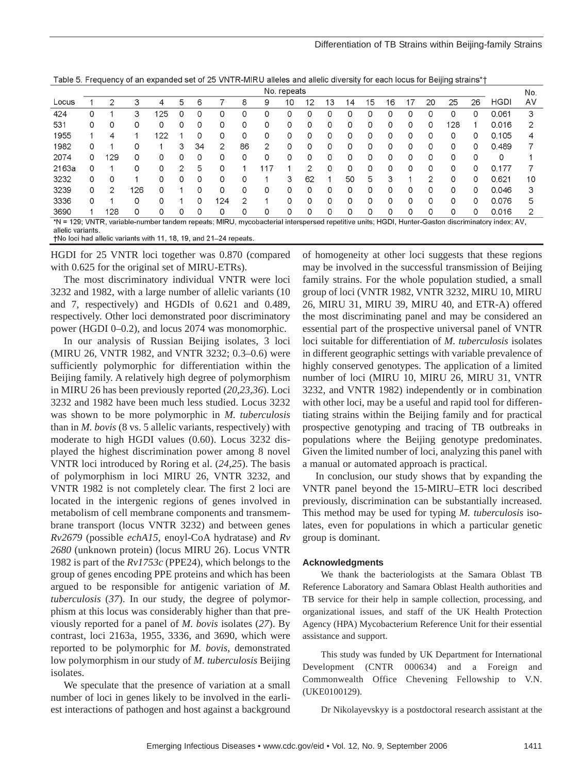|  | Table 5. Frequency of an expanded set of 25 VNTR-MIRU alleles and allelic diversity for each locus for Beijing strains*† |  |  |  |  |  |  |  |
|--|--------------------------------------------------------------------------------------------------------------------------|--|--|--|--|--|--|--|
|  |                                                                                                                          |  |  |  |  |  |  |  |

|                   | No. repeats |     |     |     |   |    |                |    |     |          |    |    |    |    |    |   |          | No. |    |                                                                                                                                                  |    |
|-------------------|-------------|-----|-----|-----|---|----|----------------|----|-----|----------|----|----|----|----|----|---|----------|-----|----|--------------------------------------------------------------------------------------------------------------------------------------------------|----|
| Locus             |             | 2   | 3   | 4   | 5 | 6  |                | 8  | 9   | 10       | 12 | 13 | 14 | 15 | 16 | 7 | 20       | 25  | 26 | <b>HGDI</b>                                                                                                                                      | AV |
| 424               | 0           |     | 3   | 125 | 0 | 0  | 0              | 0  | 0   | 0        |    | 0  | 0  | 0  | 0  | 0 | 0        | 0   | 0  | 0.061                                                                                                                                            | 3  |
| 531               | 0           |     | Ω   | 0   |   | 0  | 0              | O  | 0   | 0        |    | 0  | 0  | 0  | 0  | 0 | 0        | 128 |    | 0.016                                                                                                                                            |    |
| 1955              |             | 4   |     | 122 |   | 0  | 0              | ი  | 0   | 0        |    | 0  | 0  | 0  | 0  | 0 | $\Omega$ | 0   | 0  | 0.105                                                                                                                                            |    |
| 1982              | 0           |     | 0   |     | З | 34 | $\mathfrak{D}$ | 86 | 2   | $\Omega$ | O. | 0  | 0  | 0  | 0  | 0 | 0        | 0   | 0  | 0.489                                                                                                                                            |    |
| 2074              | 0           | 129 | Ω   | 0   |   | 0  | 0              | 0  | 0   | 0        | 0  | 0  | 0  | 0  | 0  | 0 | 0        | 0   | 0  | 0                                                                                                                                                |    |
| 2163a             | 0           |     |     | O   |   | 5  | 0              |    | 11. |          |    | 0  | 0  | 0  | 0  | 0 | 0        | O   | 0  | 0.177                                                                                                                                            |    |
| 3232              | 0           | 0   |     | O   |   | 0  | 0              | O  |     | З        | 62 |    | 50 | 5  | З  |   | 2        | O   | 0  | 0.621                                                                                                                                            | 10 |
| 3239              | 0           | 2   | 126 | 0   |   | 0  | $\Omega$       | Ω  | 0   | 0        | O  | 0  | O  | 0  | O  | 0 | 0        | 0   | 0  | 0.046                                                                                                                                            | 3  |
| 3336              | 0           |     | O   | 0   |   | 0  | 124            | 2  |     | 0        | O  | 0  | 0  | 0  | 0  | 0 | 0        | 0   | 0  | 0.076                                                                                                                                            | 5  |
| 3690              |             | '28 | 0   | 0   | 0 | 0  | 0              | 0  | 0   | 0        | 0  | 0  | 0  | 0  | 0  | 0 | 0        | 0   | 0  | 0.016                                                                                                                                            | っ  |
|                   |             |     |     |     |   |    |                |    |     |          |    |    |    |    |    |   |          |     |    | *N = 129; VNTR, variable-number tandem repeats; MIRU, mycobacterial interspersed repetitive units; HGDI, Hunter-Gaston discriminatory index; AV, |    |
| allelic variants. |             |     |     |     |   |    |                |    |     |          |    |    |    |    |    |   |          |     |    |                                                                                                                                                  |    |

+No loci had allelic variants with 11, 18, 19, and 21-24 repeats.

HGDI for 25 VNTR loci together was 0.870 (compared with 0.625 for the original set of MIRU-ETRs).

The most discriminatory individual VNTR were loci 3232 and 1982, with a large number of allelic variants (10 and 7, respectively) and HGDIs of 0.621 and 0.489, respectively. Other loci demonstrated poor discriminatory power (HGDI 0–0.2), and locus 2074 was monomorphic.

In our analysis of Russian Beijing isolates, 3 loci (MIRU 26, VNTR 1982, and VNTR 3232; 0.3–0.6) were sufficiently polymorphic for differentiation within the Beijing family. A relatively high degree of polymorphism in MIRU 26 has been previously reported (*20*,*23*,*36*). Loci 3232 and 1982 have been much less studied. Locus 3232 was shown to be more polymorphic in *M. tuberculosis* than in *M. bovis* (8 vs. 5 allelic variants, respectively) with moderate to high HGDI values (0.60). Locus 3232 displayed the highest discrimination power among 8 novel VNTR loci introduced by Roring et al. (*24*,*25*). The basis of polymorphism in loci MIRU 26, VNTR 3232, and VNTR 1982 is not completely clear. The first 2 loci are located in the intergenic regions of genes involved in metabolism of cell membrane components and transmembrane transport (locus VNTR 3232) and between genes *Rv2679* (possible *echA15*, enoyl-CoA hydratase) and *Rv 2680* (unknown protein) (locus MIRU 26). Locus VNTR 1982 is part of the *Rv1753c* (PPE24), which belongs to the group of genes encoding PPE proteins and which has been argued to be responsible for antigenic variation of *M. tuberculosis* (*37*). In our study, the degree of polymorphism at this locus was considerably higher than that previously reported for a panel of *M. bovis* isolates (*27*). By contrast, loci 2163a, 1955, 3336, and 3690, which were reported to be polymorphic for *M. bovis*, demonstrated low polymorphism in our study of *M. tuberculosis* Beijing isolates.

We speculate that the presence of variation at a small number of loci in genes likely to be involved in the earliest interactions of pathogen and host against a background

of homogeneity at other loci suggests that these regions may be involved in the successful transmission of Beijing family strains. For the whole population studied, a small group of loci (VNTR 1982, VNTR 3232, MIRU 10, MIRU 26, MIRU 31, MIRU 39, MIRU 40, and ETR-A) offered the most discriminating panel and may be considered an essential part of the prospective universal panel of VNTR loci suitable for differentiation of *M. tuberculosis* isolates in different geographic settings with variable prevalence of highly conserved genotypes. The application of a limited number of loci (MIRU 10, MIRU 26, MIRU 31, VNTR 3232, and VNTR 1982) independently or in combination with other loci, may be a useful and rapid tool for differentiating strains within the Beijing family and for practical prospective genotyping and tracing of TB outbreaks in populations where the Beijing genotype predominates. Given the limited number of loci, analyzing this panel with a manual or automated approach is practical.

In conclusion, our study shows that by expanding the VNTR panel beyond the 15-MIRU–ETR loci described previously, discrimination can be substantially increased. This method may be used for typing *M. tuberculosis* isolates, even for populations in which a particular genetic group is dominant.

## **Acknowledgments**

We thank the bacteriologists at the Samara Oblast TB Reference Laboratory and Samara Oblast Health authorities and TB service for their help in sample collection, processing, and organizational issues, and staff of the UK Health Protection Agency (HPA) Mycobacterium Reference Unit for their essential assistance and support.

This study was funded by UK Department for International Development (CNTR 000634) and a Foreign and Commonwealth Office Chevening Fellowship to V.N. (UKE0100129).

Dr Nikolayevskyy is a postdoctoral research assistant at the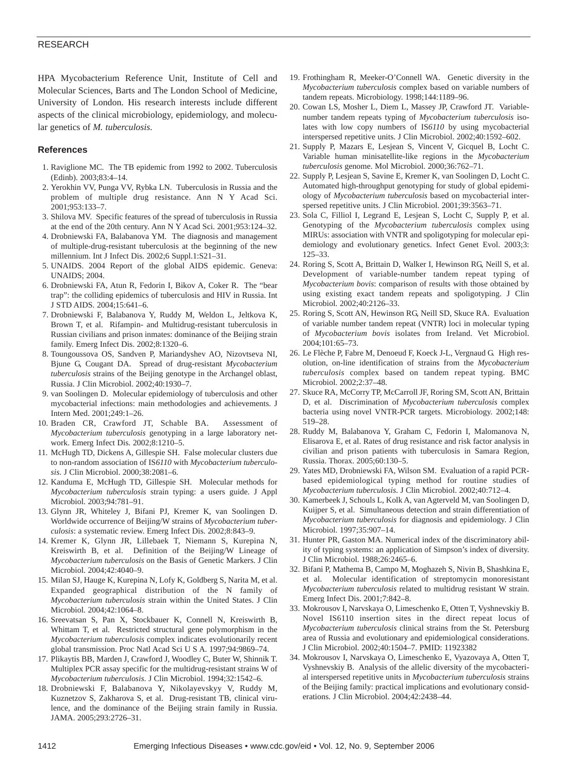## RESEARCH

HPA Mycobacterium Reference Unit, Institute of Cell and Molecular Sciences, Barts and The London School of Medicine, University of London. His research interests include different aspects of the clinical microbiology, epidemiology, and molecular genetics of *M. tuberculosis*.

## **References**

- 1. Raviglione MC. The TB epidemic from 1992 to 2002. Tuberculosis (Edinb). 2003;83:4–14.
- 2. Yerokhin VV, Punga VV, Rybka LN. Tuberculosis in Russia and the problem of multiple drug resistance. Ann N Y Acad Sci. 2001;953:133–7.
- 3. Shilova MV. Specific features of the spread of tuberculosis in Russia at the end of the 20th century. Ann N Y Acad Sci. 2001;953:124–32.
- 4. Drobniewski FA, Balabanova YM. The diagnosis and management of multiple-drug-resistant tuberculosis at the beginning of the new millennium. Int J Infect Dis. 2002;6 Suppl.1:S21–31.
- 5. UNAIDS. 2004 Report of the global AIDS epidemic. Geneva: UNAIDS; 2004.
- 6. Drobniewski FA, Atun R, Fedorin I, Bikov A, Coker R. The "bear trap": the colliding epidemics of tuberculosis and HIV in Russia. Int J STD AIDS. 2004;15:641–6.
- 7. Drobniewski F, Balabanova Y, Ruddy M, Weldon L, Jeltkova K, Brown T, et al. Rifampin- and Multidrug-resistant tuberculosis in Russian civilians and prison inmates: dominance of the Beijing strain family. Emerg Infect Dis. 2002;8:1320–6.
- 8. Toungoussova OS, Sandven P, Mariandyshev AO, Nizovtseva NI, Bjune G, Cougant DA. Spread of drug-resistant *Mycobacterium tuberculosis* strains of the Beijing genotype in the Archangel oblast, Russia. J Clin Microbiol. 2002;40:1930–7.
- 9. van Soolingen D. Molecular epidemiology of tuberculosis and other mycobacterial infections: main methodologies and achievements. J Intern Med. 2001;249:1–26.
- 10. Braden CR, Crawford JT, Schable BA. Assessment of *Mycobacterium tuberculosis* genotyping in a large laboratory network. Emerg Infect Dis. 2002;8:1210–5.
- 11. McHugh TD, Dickens A, Gillespie SH. False molecular clusters due to non-random association of IS*6110* with *Mycobacterium tuberculosis*. J Clin Microbiol. 2000;38:2081–6.
- 12. Kanduma E, McHugh TD, Gillespie SH. Molecular methods for *Mycobacterium tuberculosis* strain typing: a users guide. J Appl Microbiol. 2003;94:781–91.
- 13. Glynn JR, Whiteley J, Bifani PJ, Kremer K, van Soolingen D. Worldwide occurrence of Beijing/W strains of *Mycobacterium tuberculosis*: a systematic review. Emerg Infect Dis. 2002;8:843–9.
- 14. Kremer K, Glynn JR, Lillebaek T, Niemann S, Kurepina N, Kreiswirth B, et al. Definition of the Beijing/W Lineage of *Mycobacterium tuberculosis* on the Basis of Genetic Markers. J Clin Microbiol. 2004;42:4040–9.
- 15. Milan SJ, Hauge K, Kurepina N, Lofy K, Goldberg S, Narita M, et al. Expanded geographical distribution of the N family of *Mycobacterium tuberculosis* strain within the United States. J Clin Microbiol. 2004;42:1064–8.
- 16. Sreevatsan S, Pan X, Stockbauer K, Connell N, Kreiswirth B, Whittam T, et al. Restricted structural gene polymorphism in the *Mycobacterium tuberculosis* complex indicates evolutionarily recent global transmission. Proc Natl Acad Sci U S A. 1997;94:9869–74.
- 17. Plikaytis BB, Marden J, Crawford J, Woodley C, Buter W, Shinnik T. Multiplex PCR assay specific for the multidrug-resistant strains W of *Mycobacterium tuberculosis*. J Clin Microbiol. 1994;32:1542–6.
- 18. Drobniewski F, Balabanova Y, Nikolayevskyy V, Ruddy M, Kuznetzov S, Zakharova S, et al. Drug-resistant TB, clinical virulence, and the dominance of the Beijing strain family in Russia. JAMA. 2005;293:2726–31.
- 19. Frothingham R, Meeker-O'Connell WA. Genetic diversity in the *Mycobacterium tuberculosis* complex based on variable numbers of tandem repeats. Microbiology. 1998;144:1189–96.
- 20. Cowan LS, Mosher L, Diem L, Massey JP, Crawford JT. Variablenumber tandem repeats typing of *Mycobacterium tuberculosis* isolates with low copy numbers of IS*6110* by using mycobacterial interspersed repetitive units. J Clin Microbiol. 2002;40:1592–602.
- 21. Supply P, Mazars E, Lesjean S, Vincent V, Gicquel B, Locht C. Variable human minisatellite-like regions in the *Mycobacterium tuberculosis* genome. Mol Microbiol. 2000;36:762–71.
- 22. Supply P, Lesjean S, Savine E, Kremer K, van Soolingen D, Locht C. Automated high-throughput genotyping for study of global epidemiology of *Mycobacterium tuberculosis* based on mycobacterial interspersed repetitive units. J Clin Microbiol. 2001;39:3563–71.
- 23. Sola C, Filliol I, Legrand E, Lesjean S, Locht C, Supply P, et al. Genotyping of the *Mycobacterium tuberculosis* complex using MIRUs: association with VNTR and spoligotyping for molecular epidemiology and evolutionary genetics. Infect Genet Evol. 2003;3: 125–33.
- 24. Roring S, Scott A, Brittain D, Walker I, Hewinson RG, Neill S, et al. Development of variable-number tandem repeat typing of *Mycobacterium bovis*: comparison of results with those obtained by using existing exact tandem repeats and spoligotyping. J Clin Microbiol. 2002;40:2126–33.
- 25. Roring S, Scott AN, Hewinson RG, Neill SD, Skuce RA. Evaluation of variable number tandem repeat (VNTR) loci in molecular typing of *Mycobacterium bovis* isolates from Ireland. Vet Microbiol. 2004;101:65–73.
- 26. Le Flèche P, Fabre M, Denoeud F, Koeck J-L, Vergnaud G. High resolution, on-line identification of strains from the *Mycobacterium tuberculosis* complex based on tandem repeat typing. BMC Microbiol. 2002;2:37–48.
- 27. Skuce RA, McCorry TP, McCarroll JF, Roring SM, Scott AN, Brittain D, et al. Discrimination of *Mycobacterium tuberculosis* complex bacteria using novel VNTR-PCR targets. Microbiology. 2002;148: 519–28.
- 28. Ruddy M, Balabanova Y, Graham C, Fedorin I, Malomanova N, Elisarova E, et al. Rates of drug resistance and risk factor analysis in civilian and prison patients with tuberculosis in Samara Region, Russia. Thorax. 2005;60:130–5.
- 29. Yates MD, Drobniewski FA, Wilson SM. Evaluation of a rapid PCRbased epidemiological typing method for routine studies of *Mycobacterium tuberculosis*. J Clin Microbiol. 2002;40:712–4.
- 30. Kamerbeek J, Schouls L, Kolk A, van Agterveld M, van Soolingen D, Kuijper S, et al. Simultaneous detection and strain differentiation of *Mycobacterium tuberculosis* for diagnosis and epidemiology. J Clin Microbiol. 1997;35:907–14.
- 31. Hunter PR, Gaston MA. Numerical index of the discriminatory ability of typing systems: an application of Simpson's index of diversity. J Clin Microbiol. 1988;26:2465–6.
- 32. Bifani P, Mathema B, Campo M, Moghazeh S, Nivin B, Shashkina E, et al. Molecular identification of streptomycin monoresistant *Mycobacterium tuberculosis* related to multidrug resistant W strain. Emerg Infect Dis. 2001;7:842–8.
- 33. Mokrousov I, Narvskaya O, Limeschenko E, Otten T, Vyshnevskiy B. Novel IS6110 insertion sites in the direct repeat locus of *Mycobacterium tuberculosis* clinical strains from the St. Petersburg area of Russia and evolutionary and epidemiological considerations. J Clin Microbiol. 2002;40:1504–7. PMID: 11923382
- 34. Mokrousov I, Narvskaya O, Limeschenko E, Vyazovaya A, Otten T, Vyshnevskiy B. Analysis of the allelic diversity of the mycobacterial interspersed repetitive units in *Mycobacterium tuberculosis* strains of the Beijing family: practical implications and evolutionary considerations. J Clin Microbiol. 2004;42:2438–44.